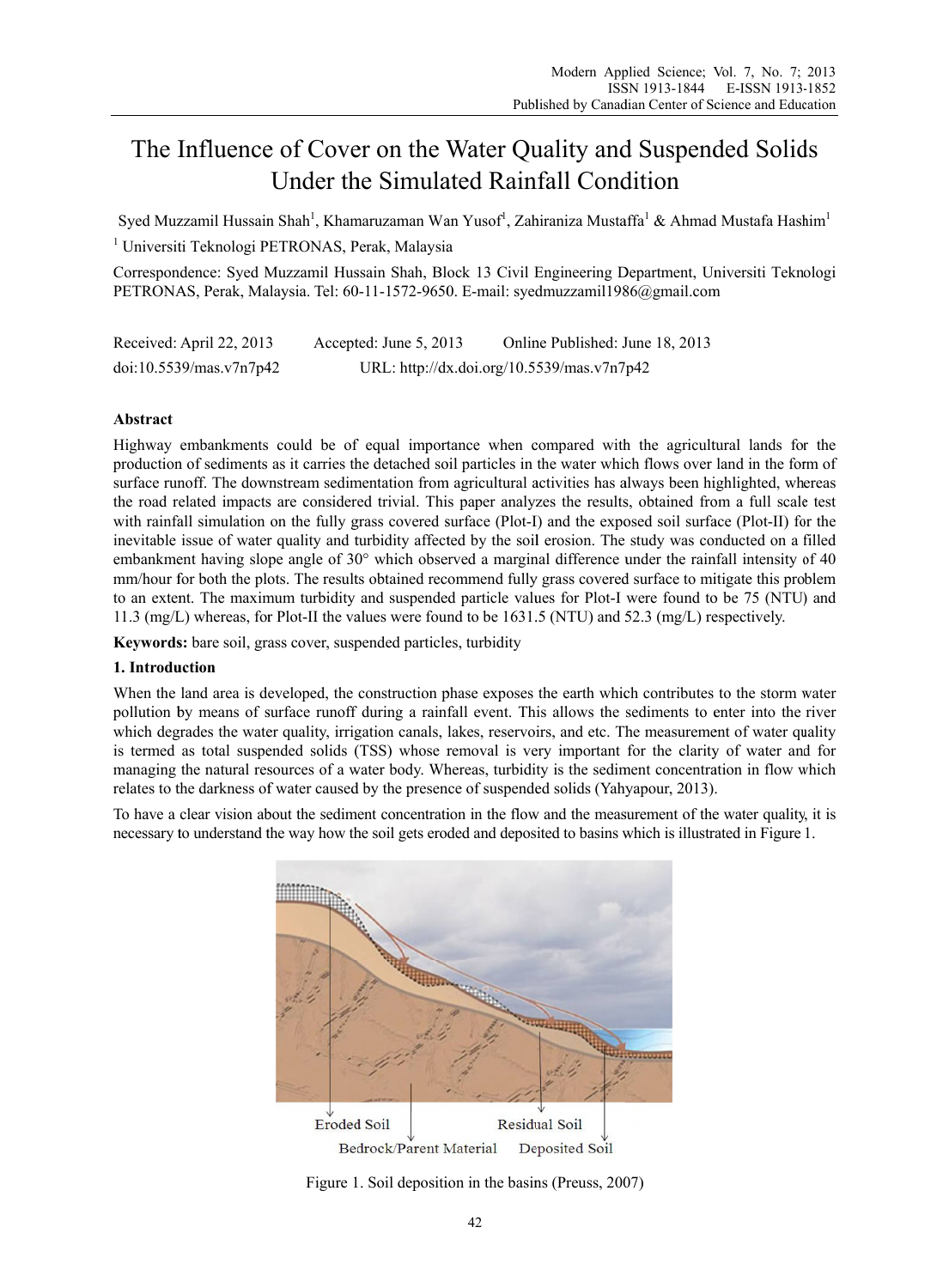# The Influence of Cover on the Water Quality and Suspended Solids Under the Simulated Rainfall Condition

Syed Muzzamil Hussain Shah<sup>1</sup>, Khamaruzaman Wan Yusof<sup>1</sup>, Zahiraniza Mustaffa<sup>1</sup> & Ahmad Mustafa Hashim<sup>1</sup>

<sup>1</sup> Universiti Teknologi PETRONAS, Perak, Malaysia

Correspondence: Syed Muzzamil Hussain Shah, Block 13 Civil Engineering Department, Universiti Teknologi PETRONAS, Perak, Malaysia. Tel: 60-11-1572-9650. E-mail: syedmuzzamil1986@gmail.com

Received: April 22, 2013 Accepted: June 5, 2013 Online Published: June 18, 2013 URL: http://dx.doi.org/10.5539/mas.v7n7p42 doi:10.5539/mas.v7n7p42

# Abstract

Highway embankments could be of equal importance when compared with the agricultural lands for the production of sediments as it carries the detached soil particles in the water which flows over land in the form of surface runoff. The downstream sedimentation from agricultural activities has always been highlighted, whereas the road related impacts are considered trivial. This paper analyzes the results, obtained from a full scale test with rainfall simulation on the fully grass covered surface (Plot-I) and the exposed soil surface (Plot-II) for the inevitable issue of water quality and turbidity affected by the soil erosion. The study was conducted on a filled embankment having slope angle of 30° which observed a marginal difference under the rainfall intensity of 40 mm/hour for both the plots. The results obtained recommend fully grass covered surface to mitigate this problem to an extent. The maximum turbidity and suspended particle values for Plot-I were found to be 75 (NTU) and 11.3 (mg/L) whereas, for Plot-II the values were found to be 1631.5 (NTU) and 52.3 (mg/L) respectively.

Keywords: bare soil, grass cover, suspended particles, turbidity

# 1. Introduction

When the land area is developed, the construction phase exposes the earth which contributes to the storm water pollution by means of surface runoff during a rainfall event. This allows the sediments to enter into the river which degrades the water quality, irrigation canals, lakes, reservoirs, and etc. The measurement of water quality is termed as total suspended solids (TSS) whose removal is very important for the clarity of water and for managing the natural resources of a water body. Whereas, turbidity is the sediment concentration in flow which relates to the darkness of water caused by the presence of suspended solids (Yahyapour, 2013).

To have a clear vision about the sediment concentration in the flow and the measurement of the water quality, it is necessary to understand the way how the soil gets eroded and deposited to basins which is illustrated in Figure 1.



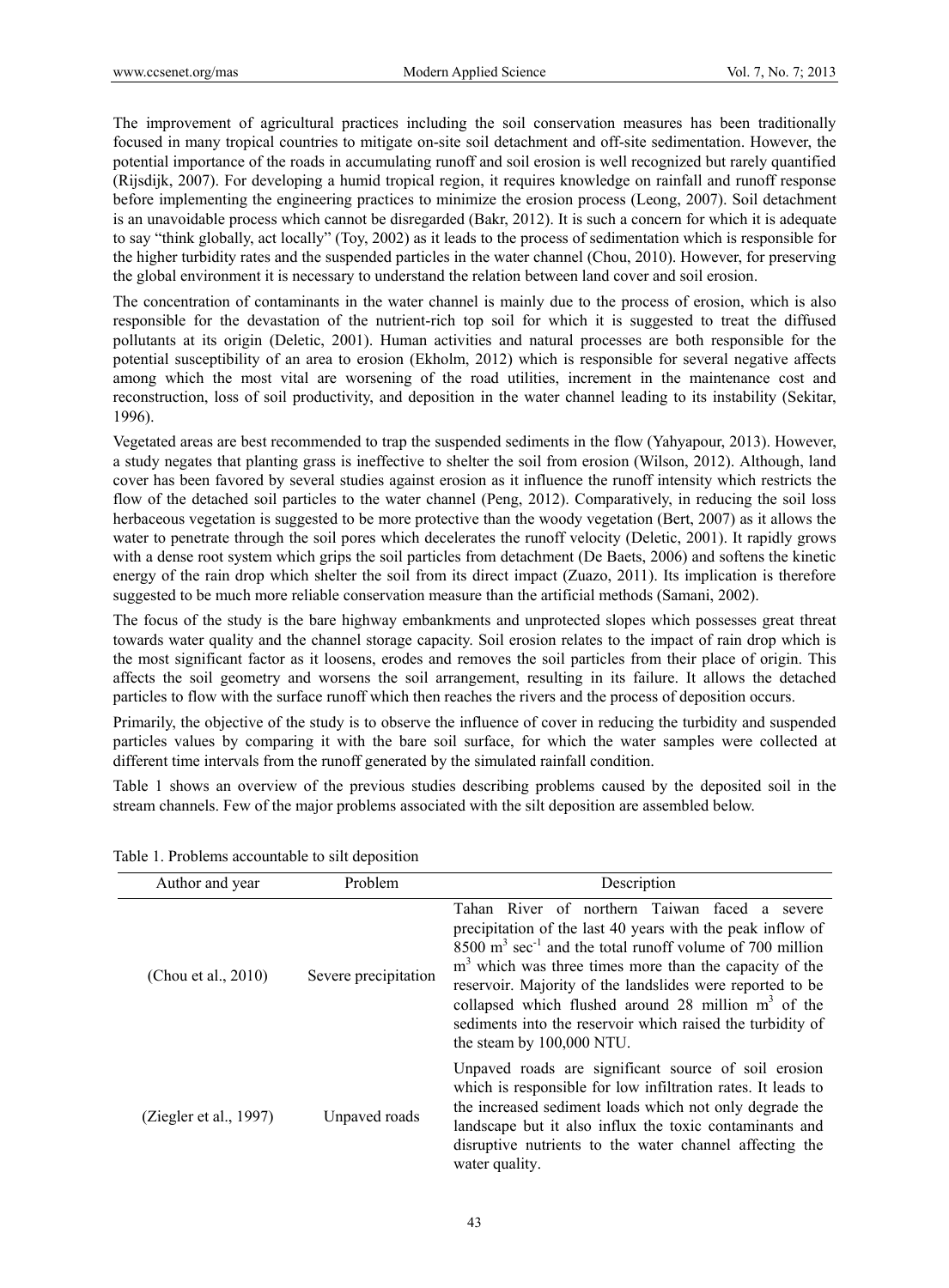The improvement of agricultural practices including the soil conservation measures has been traditionally focused in many tropical countries to mitigate on-site soil detachment and off-site sedimentation. However, the potential importance of the roads in accumulating runoff and soil erosion is well recognized but rarely quantified (Rijsdijk, 2007). For developing a humid tropical region, it requires knowledge on rainfall and runoff response before implementing the engineering practices to minimize the erosion process (Leong, 2007). Soil detachment is an unavoidable process which cannot be disregarded (Bakr, 2012). It is such a concern for which it is adequate to say "think globally, act locally" (Toy, 2002) as it leads to the process of sedimentation which is responsible for the higher turbidity rates and the suspended particles in the water channel (Chou, 2010). However, for preserving the global environment it is necessary to understand the relation between land cover and soil erosion.

The concentration of contaminants in the water channel is mainly due to the process of erosion, which is also responsible for the devastation of the nutrient-rich top soil for which it is suggested to treat the diffused pollutants at its origin (Deletic, 2001). Human activities and natural processes are both responsible for the potential susceptibility of an area to erosion (Ekholm, 2012) which is responsible for several negative affects among which the most vital are worsening of the road utilities, increment in the maintenance cost and reconstruction, loss of soil productivity, and deposition in the water channel leading to its instability (Sekitar, 1996).

Vegetated areas are best recommended to trap the suspended sediments in the flow (Yahyapour, 2013). However, a study negates that planting grass is ineffective to shelter the soil from erosion (Wilson, 2012). Although, land cover has been favored by several studies against erosion as it influence the runoff intensity which restricts the flow of the detached soil particles to the water channel (Peng, 2012). Comparatively, in reducing the soil loss herbaceous vegetation is suggested to be more protective than the woody vegetation (Bert, 2007) as it allows the water to penetrate through the soil pores which decelerates the runoff velocity (Deletic, 2001). It rapidly grows with a dense root system which grips the soil particles from detachment (De Baets, 2006) and softens the kinetic energy of the rain drop which shelter the soil from its direct impact (Zuazo, 2011). Its implication is therefore suggested to be much more reliable conservation measure than the artificial methods (Samani, 2002).

The focus of the study is the bare highway embankments and unprotected slopes which possesses great threat towards water quality and the channel storage capacity. Soil erosion relates to the impact of rain drop which is the most significant factor as it loosens, erodes and removes the soil particles from their place of origin. This affects the soil geometry and worsens the soil arrangement, resulting in its failure. It allows the detached particles to flow with the surface runoff which then reaches the rivers and the process of deposition occurs.

Primarily, the objective of the study is to observe the influence of cover in reducing the turbidity and suspended particles values by comparing it with the bare soil surface, for which the water samples were collected at different time intervals from the runoff generated by the simulated rainfall condition.

Table 1 shows an overview of the previous studies describing problems caused by the deposited soil in the stream channels. Few of the major problems associated with the silt deposition are assembled below.

| Author and year        | Problem              | Description                                                                                                                                                                                                                                                                                                                                                                                                                                                                |
|------------------------|----------------------|----------------------------------------------------------------------------------------------------------------------------------------------------------------------------------------------------------------------------------------------------------------------------------------------------------------------------------------------------------------------------------------------------------------------------------------------------------------------------|
| (Chou et al., 2010)    | Severe precipitation | Tahan River of northern Taiwan faced a severe<br>precipitation of the last 40 years with the peak inflow of<br>$8500 \text{ m}^3 \text{ sec}^{-1}$ and the total runoff volume of 700 million<br>$m3$ which was three times more than the capacity of the<br>reservoir. Majority of the landslides were reported to be<br>collapsed which flushed around 28 million $m3$ of the<br>sediments into the reservoir which raised the turbidity of<br>the steam by 100,000 NTU. |
| (Ziegler et al., 1997) | Unpaved roads        | Unpaved roads are significant source of soil erosion<br>which is responsible for low infiltration rates. It leads to<br>the increased sediment loads which not only degrade the<br>landscape but it also influx the toxic contaminants and<br>disruptive nutrients to the water channel affecting the<br>water quality.                                                                                                                                                    |

Table 1. Problems accountable to silt deposition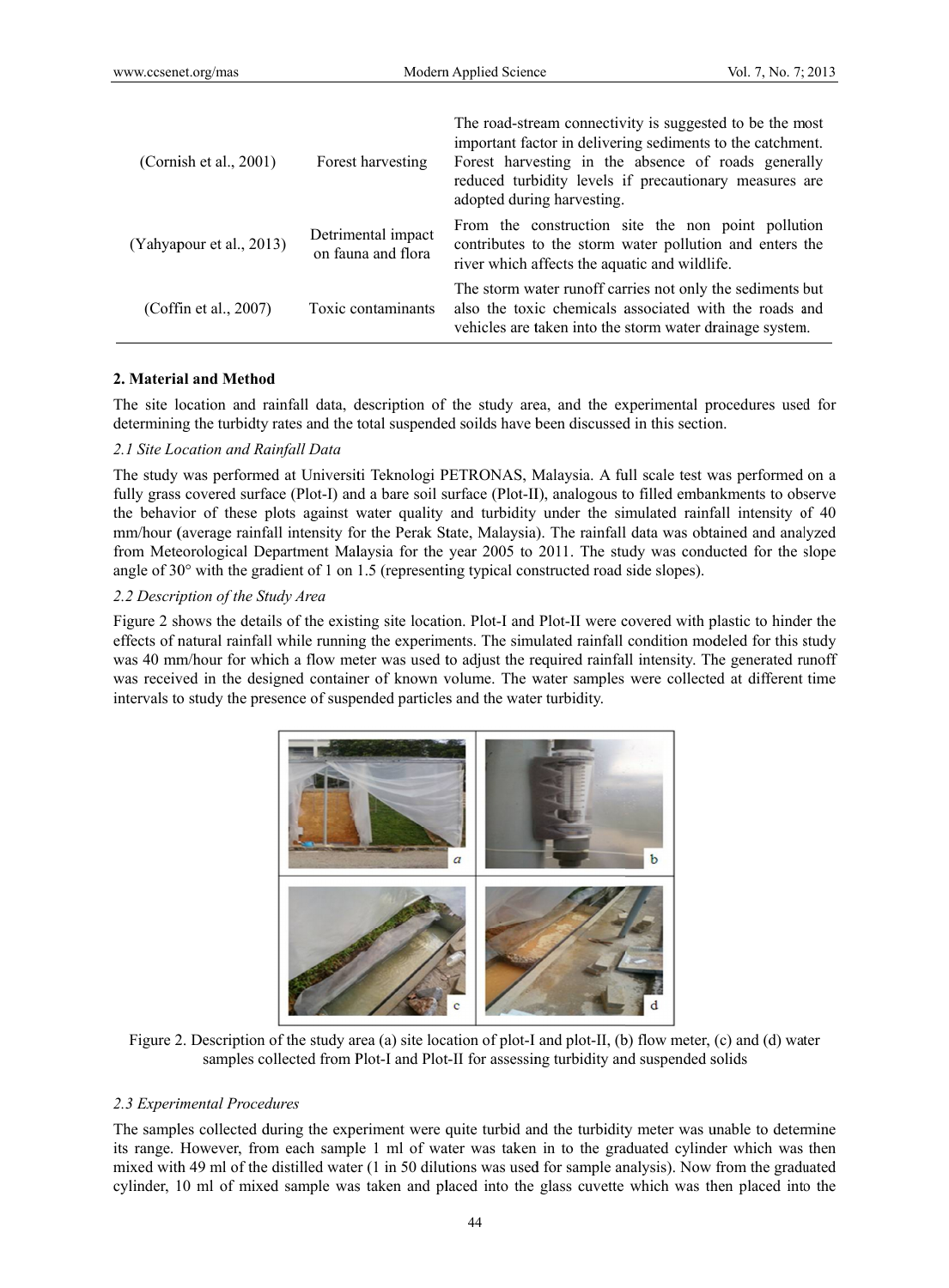| (Cornish et al., $2001$ ) | Forest harvesting                        | The road-stream connectivity is suggested to be the most<br>important factor in delivering sediments to the catchment.<br>Forest harvesting in the absence of roads generally<br>reduced turbidity levels if precautionary measures are<br>adopted during harvesting. |
|---------------------------|------------------------------------------|-----------------------------------------------------------------------------------------------------------------------------------------------------------------------------------------------------------------------------------------------------------------------|
| (Yahyapour et al., 2013)  | Detrimental impact<br>on fauna and flora | From the construction site the non point pollution<br>contributes to the storm water pollution and enters the<br>river which affects the aquatic and wildlife.                                                                                                        |
| (Coffin et al., 2007)     | Toxic contaminants                       | The storm water runoff carries not only the sediments but<br>also the toxic chemicals associated with the roads and<br>vehicles are taken into the storm water drainage system.                                                                                       |

## 2. Material and Method

The site location and rainfall data, description of the study area, and the experimental procedures used for determining the turbidty rates and the total suspended soilds have been discussed in this section.

#### 2.1 Site Location and Rainfall Data

The study was performed at Universiti Teknologi PETRONAS, Malaysia. A full scale test was performed on a fully grass covered surface (Plot-I) and a bare soil surface (Plot-II), analogous to filled embankments to observe the behavior of these plots against water quality and turbidity under the simulated rainfall intensity of 40 mm/hour (average rainfall intensity for the Perak State, Malaysia). The rainfall data was obtained and analyzed from Meteorological Department Malaysia for the year 2005 to 2011. The study was conducted for the slope angle of  $30^{\circ}$  with the gradient of 1 on 1.5 (representing typical constructed road side slopes).

#### 2.2 Description of the Study Area

Figure 2 shows the details of the existing site location. Plot-I and Plot-II were covered with plastic to hinder the effects of natural rainfall while running the experiments. The simulated rainfall condition modeled for this study was 40 mm/hour for which a flow meter was used to adjust the required rainfall intensity. The generated runoff was received in the designed container of known volume. The water samples were collected at different time intervals to study the presence of suspended particles and the water turbidity.



Figure 2. Description of the study area (a) site location of plot-I and plot-II, (b) flow meter, (c) and (d) water samples collected from Plot-I and Plot-II for assessing turbidity and suspended solids

#### 2.3 Experimental Procedures

The samples collected during the experiment were quite turbid and the turbidity meter was unable to determine its range. However, from each sample 1 ml of water was taken in to the graduated cylinder which was then mixed with 49 ml of the distilled water (1 in 50 dilutions was used for sample analysis). Now from the graduated cylinder, 10 ml of mixed sample was taken and placed into the glass cuvette which was then placed into the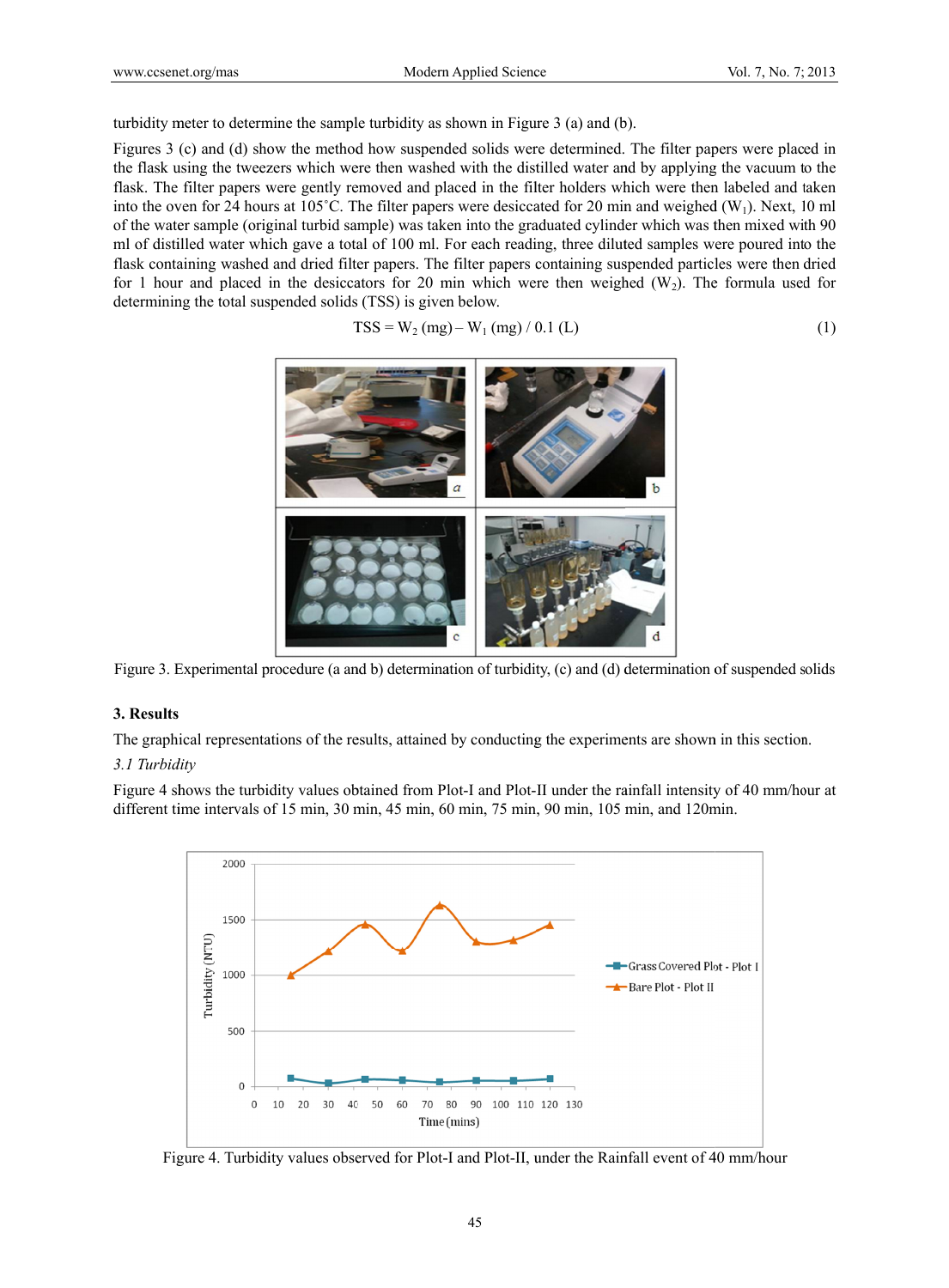turbidity meter to determine the sample turbidity as shown in Figure 3 (a) and (b).

Figures 3 (c) and (d) show the method how suspended solids were determined. The filter papers were placed in the flask using the tweezers which were then washed with the distilled water and by applying the vacuum to the flask. The filter papers were gently removed and placed in the filter holders which were then labeled and taken into the oven for 24 hours at  $105^{\circ}$ C. The filter papers were desiccated for 20 min and weighed (W<sub>1</sub>). Next, 10 ml of the water sample (original turbid sample) was taken into the graduated cylinder which was then mixed with 90 ml of distilled water which gave a total of 100 ml. For each reading, three diluted samples were poured into the flask containing washed and dried filter papers. The filter papers containing suspended particles were then dried for 1 hour and placed in the desiccators for 20 min which were then weighed  $(W_2)$ . The formula used for determining the total suspended solids (TSS) is given below.

$$
TSS = W_2 (mg) - W_1 (mg) / 0.1 (L)
$$
 (1)



Figure 3. Experimental procedure (a and b) determination of turbidity, (c) and (d) determination of suspended solids

## **3. Results**

The graphical representations of the results, attained by conducting the experiments are shown in this section.

## *3.1 Turbid dity*

Figure 4 shows the turbidity values obtained from Plot-I and Plot-II under the rainfall intensity of 40 mm/hour at different time intervals of 15 min, 30 min, 45 min, 60 min, 75 min, 90 min, 105 min, and 120min.



Figure 4. Turbidity values observed for Plot-I and Plot-II, under the Rainfall event of 40 mm/hour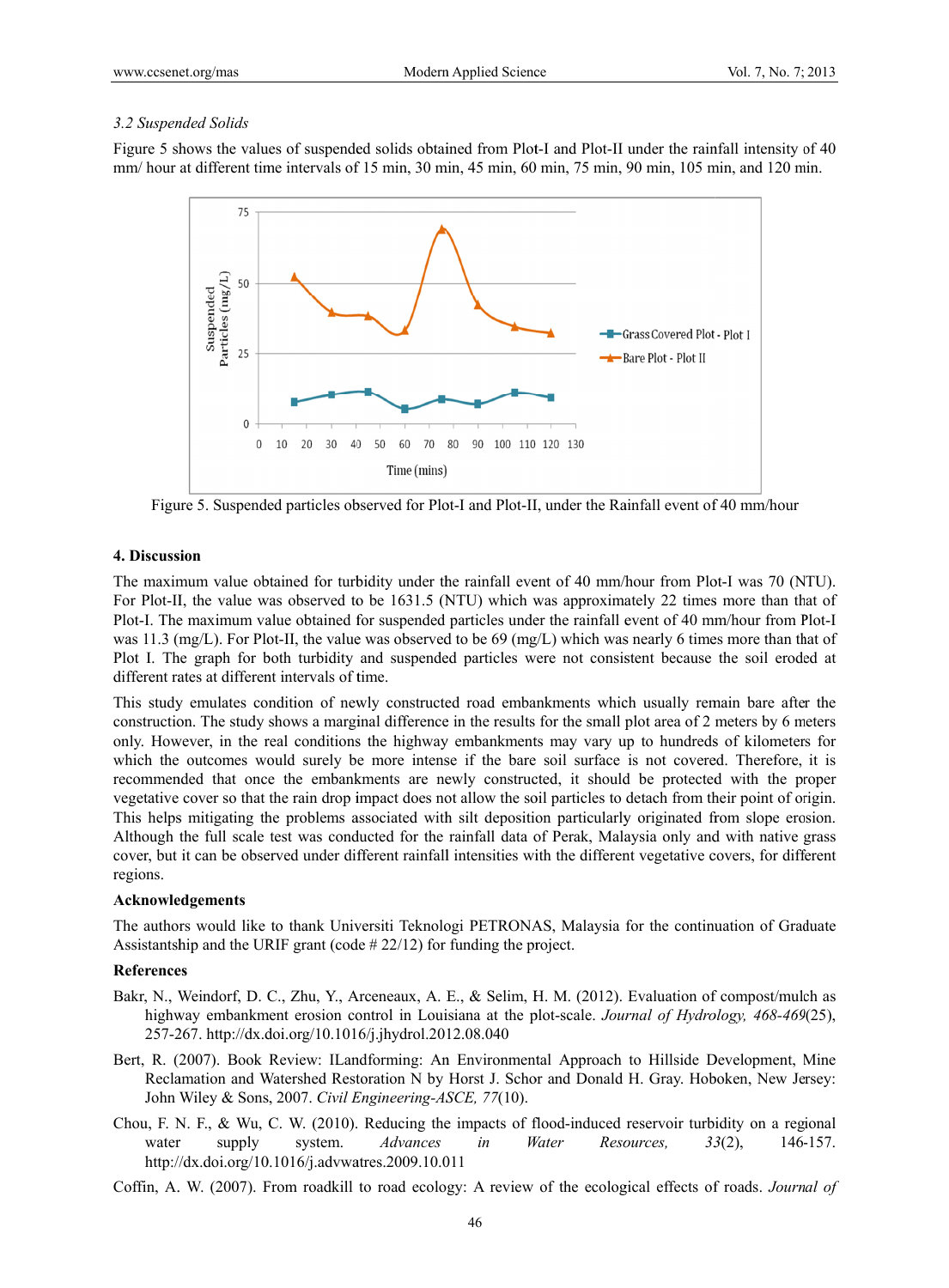# 3.2 Suspended Solids

Figure 5 shows the values of suspended solids obtained from Plot-I and Plot-II under the rainfall intensity of 40 mm/ hour at different time intervals of 15 min, 30 min, 45 min, 60 min, 75 min, 90 min, 105 min, and 120 min.



Figure 5. Suspended particles observed for Plot-I and Plot-II, under the Rainfall event of 40 mm/hour

## 4. Discussion

The maximum value obtained for turbidity under the rainfall event of 40 mm/hour from Plot-I was 70 (NTU). For Plot-II, the value was observed to be 1631.5 (NTU) which was approximately 22 times more than that of Plot-I. The maximum value obtained for suspended particles under the rainfall event of 40 mm/hour from Plot-I was 11.3 (mg/L). For Plot-II, the value was observed to be 69 (mg/L) which was nearly 6 times more than that of Plot I. The graph for both turbidity and suspended particles were not consistent because the soil eroded at different rates at different intervals of time.

This study emulates condition of newly constructed road embankments which usually remain bare after the construction. The study shows a marginal difference in the results for the small plot area of 2 meters by 6 meters only. However, in the real conditions the highway embankments may vary up to hundreds of kilometers for which the outcomes would surely be more intense if the bare soil surface is not covered. Therefore, it is recommended that once the embankments are newly constructed, it should be protected with the proper vegetative cover so that the rain drop impact does not allow the soil particles to detach from their point of origin. This helps mitigating the problems associated with silt deposition particularly originated from slope erosion. Although the full scale test was conducted for the rainfall data of Perak, Malaysia only and with native grass cover, but it can be observed under different rainfall intensities with the different vegetative covers, for different regions.

## Acknowledgements

The authors would like to thank Universiti Teknologi PETRONAS, Malaysia for the continuation of Graduate Assistantship and the URIF grant (code  $\# 22/12$ ) for funding the project.

## **References**

- Bakr, N., Weindorf, D. C., Zhu, Y., Arceneaux, A. E., & Selim, H. M. (2012). Evaluation of compost/mulch as highway embankment erosion control in Louisiana at the plot-scale. Journal of Hydrology, 468-469(25), 257-267. http://dx.doi.org/10.1016/j.jhydrol.2012.08.040
- Bert, R. (2007). Book Review: ILandforming: An Environmental Approach to Hillside Development, Mine Reclamation and Watershed Restoration N by Horst J. Schor and Donald H. Gray. Hoboken, New Jersey: John Wiley & Sons, 2007. Civil Engineering-ASCE, 77(10).
- Chou, F. N. F., & Wu, C. W. (2010). Reducing the impacts of flood-induced reservoir turbidity on a regional water system. Advances  $in$ Water Resources, 146-157. supply  $33(2)$ , http://dx.doi.org/10.1016/j.advwatres.2009.10.011
- Coffin, A. W. (2007). From roadkill to road ecology: A review of the ecological effects of roads. Journal of